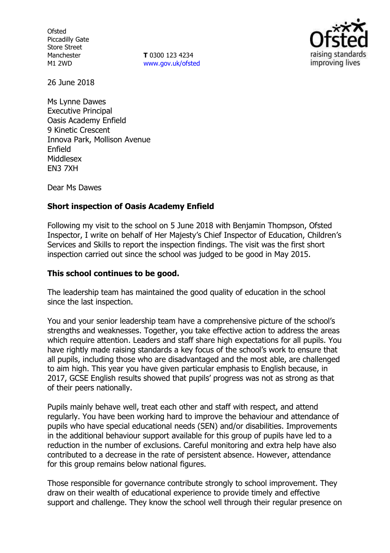**Ofsted** Piccadilly Gate Store Street Manchester M1 2WD

**T** 0300 123 4234 [www.gov.uk/ofsted](http://www.gov.uk/ofsted)



26 June 2018

Ms Lynne Dawes Executive Principal Oasis Academy Enfield 9 Kinetic Crescent Innova Park, Mollison Avenue Enfield Middlesex EN3 7XH

Dear Ms Dawes

## **Short inspection of Oasis Academy Enfield**

Following my visit to the school on 5 June 2018 with Benjamin Thompson, Ofsted Inspector, I write on behalf of Her Majesty's Chief Inspector of Education, Children's Services and Skills to report the inspection findings. The visit was the first short inspection carried out since the school was judged to be good in May 2015.

#### **This school continues to be good.**

The leadership team has maintained the good quality of education in the school since the last inspection.

You and your senior leadership team have a comprehensive picture of the school's strengths and weaknesses. Together, you take effective action to address the areas which require attention. Leaders and staff share high expectations for all pupils. You have rightly made raising standards a key focus of the school's work to ensure that all pupils, including those who are disadvantaged and the most able, are challenged to aim high. This year you have given particular emphasis to English because, in 2017, GCSE English results showed that pupils' progress was not as strong as that of their peers nationally.

Pupils mainly behave well, treat each other and staff with respect, and attend regularly. You have been working hard to improve the behaviour and attendance of pupils who have special educational needs (SEN) and/or disabilities. Improvements in the additional behaviour support available for this group of pupils have led to a reduction in the number of exclusions. Careful monitoring and extra help have also contributed to a decrease in the rate of persistent absence. However, attendance for this group remains below national figures.

Those responsible for governance contribute strongly to school improvement. They draw on their wealth of educational experience to provide timely and effective support and challenge. They know the school well through their regular presence on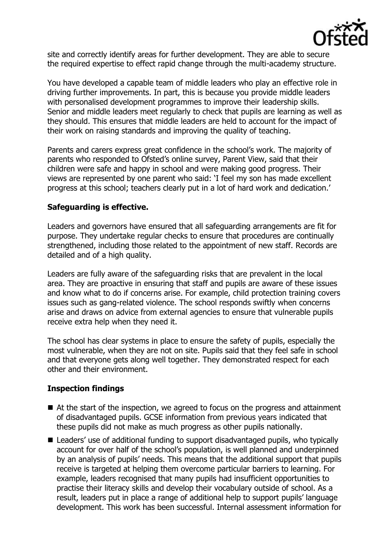

site and correctly identify areas for further development. They are able to secure the required expertise to effect rapid change through the multi-academy structure.

You have developed a capable team of middle leaders who play an effective role in driving further improvements. In part, this is because you provide middle leaders with personalised development programmes to improve their leadership skills. Senior and middle leaders meet regularly to check that pupils are learning as well as they should. This ensures that middle leaders are held to account for the impact of their work on raising standards and improving the quality of teaching.

Parents and carers express great confidence in the school's work. The majority of parents who responded to Ofsted's online survey, Parent View, said that their children were safe and happy in school and were making good progress. Their views are represented by one parent who said: 'I feel my son has made excellent progress at this school; teachers clearly put in a lot of hard work and dedication.'

# **Safeguarding is effective.**

Leaders and governors have ensured that all safeguarding arrangements are fit for purpose. They undertake regular checks to ensure that procedures are continually strengthened, including those related to the appointment of new staff. Records are detailed and of a high quality.

Leaders are fully aware of the safeguarding risks that are prevalent in the local area. They are proactive in ensuring that staff and pupils are aware of these issues and know what to do if concerns arise. For example, child protection training covers issues such as gang-related violence. The school responds swiftly when concerns arise and draws on advice from external agencies to ensure that vulnerable pupils receive extra help when they need it.

The school has clear systems in place to ensure the safety of pupils, especially the most vulnerable, when they are not on site. Pupils said that they feel safe in school and that everyone gets along well together. They demonstrated respect for each other and their environment.

# **Inspection findings**

- At the start of the inspection, we agreed to focus on the progress and attainment of disadvantaged pupils. GCSE information from previous years indicated that these pupils did not make as much progress as other pupils nationally.
- Leaders' use of additional funding to support disadvantaged pupils, who typically account for over half of the school's population, is well planned and underpinned by an analysis of pupils' needs. This means that the additional support that pupils receive is targeted at helping them overcome particular barriers to learning. For example, leaders recognised that many pupils had insufficient opportunities to practise their literacy skills and develop their vocabulary outside of school. As a result, leaders put in place a range of additional help to support pupils' language development. This work has been successful. Internal assessment information for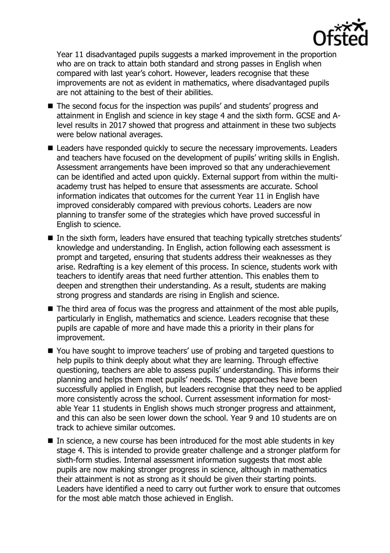

Year 11 disadvantaged pupils suggests a marked improvement in the proportion who are on track to attain both standard and strong passes in English when compared with last year's cohort. However, leaders recognise that these improvements are not as evident in mathematics, where disadvantaged pupils are not attaining to the best of their abilities.

- The second focus for the inspection was pupils' and students' progress and attainment in English and science in key stage 4 and the sixth form. GCSE and Alevel results in 2017 showed that progress and attainment in these two subjects were below national averages.
- Leaders have responded quickly to secure the necessary improvements. Leaders and teachers have focused on the development of pupils' writing skills in English. Assessment arrangements have been improved so that any underachievement can be identified and acted upon quickly. External support from within the multiacademy trust has helped to ensure that assessments are accurate. School information indicates that outcomes for the current Year 11 in English have improved considerably compared with previous cohorts. Leaders are now planning to transfer some of the strategies which have proved successful in English to science.
- In the sixth form, leaders have ensured that teaching typically stretches students' knowledge and understanding. In English, action following each assessment is prompt and targeted, ensuring that students address their weaknesses as they arise. Redrafting is a key element of this process. In science, students work with teachers to identify areas that need further attention. This enables them to deepen and strengthen their understanding. As a result, students are making strong progress and standards are rising in English and science.
- The third area of focus was the progress and attainment of the most able pupils, particularly in English, mathematics and science. Leaders recognise that these pupils are capable of more and have made this a priority in their plans for improvement.
- You have sought to improve teachers' use of probing and targeted questions to help pupils to think deeply about what they are learning. Through effective questioning, teachers are able to assess pupils' understanding. This informs their planning and helps them meet pupils' needs. These approaches have been successfully applied in English, but leaders recognise that they need to be applied more consistently across the school. Current assessment information for mostable Year 11 students in English shows much stronger progress and attainment, and this can also be seen lower down the school. Year 9 and 10 students are on track to achieve similar outcomes.
- $\blacksquare$  In science, a new course has been introduced for the most able students in key stage 4. This is intended to provide greater challenge and a stronger platform for sixth-form studies. Internal assessment information suggests that most able pupils are now making stronger progress in science, although in mathematics their attainment is not as strong as it should be given their starting points. Leaders have identified a need to carry out further work to ensure that outcomes for the most able match those achieved in English.